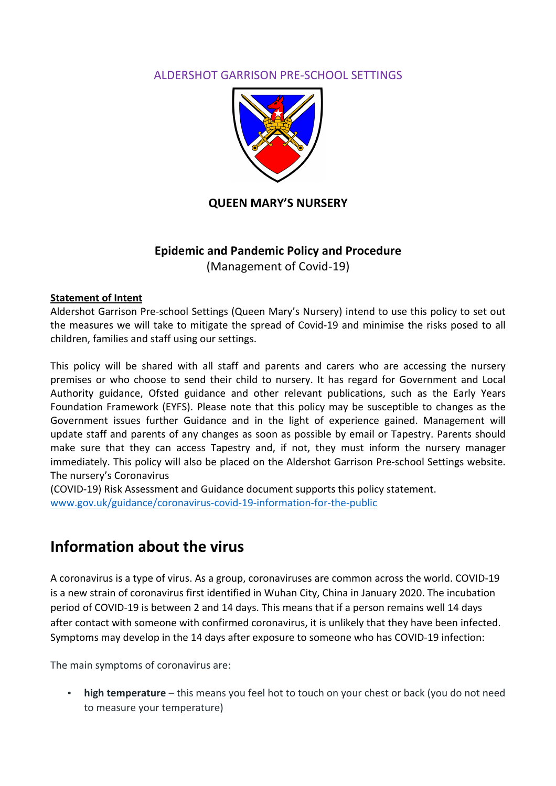# ALDERSHOT GARRISON PRE-SCHOOL SETTINGS



# **QUEEN MARY'S NURSERY**

# **Epidemic and Pandemic Policy and Procedure** (Management of Covid-19)

#### **Statement of Intent**

Aldershot Garrison Pre-school Settings (Queen Mary's Nursery) intend to use this policy to set out the measures we will take to mitigate the spread of Covid-19 and minimise the risks posed to all children, families and staff using our settings.

This policy will be shared with all staff and parents and carers who are accessing the nursery premises or who choose to send their child to nursery. It has regard for Government and Local Authority guidance, Ofsted guidance and other relevant publications, such as the Early Years Foundation Framework (EYFS). Please note that this policy may be susceptible to changes as the Government issues further Guidance and in the light of experience gained. Management will update staff and parents of any changes as soon as possible by email or Tapestry. Parents should make sure that they can access Tapestry and, if not, they must inform the nursery manager immediately. This policy will also be placed on the Aldershot Garrison Pre-school Settings website. The nursery's Coronavirus

(COVID-19) Risk Assessment and Guidance document supports this policy statement. www.gov.uk/guidance/coronavirus-covid-19-information-for-the-public

# **Information about the virus**

A coronavirus is a type of virus. As a group, coronaviruses are common across the world. COVID-19 is a new strain of coronavirus first identified in Wuhan City, China in January 2020. The incubation period of COVID-19 is between 2 and 14 days. This means that if a person remains well 14 days after contact with someone with confirmed coronavirus, it is unlikely that they have been infected. Symptoms may develop in the 14 days after exposure to someone who has COVID-19 infection:

The main symptoms of coronavirus are:

**high temperature** – this means you feel hot to touch on your chest or back (you do not need to measure your temperature)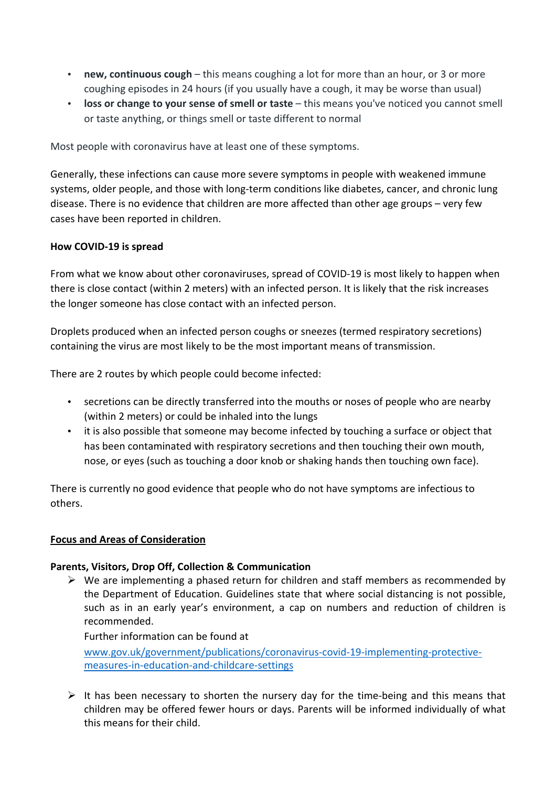- **new, continuous cough** this means coughing a lot for more than an hour, or 3 or more coughing episodes in 24 hours (if you usually have a cough, it may be worse than usual)
- **loss or change to your sense of smell or taste** this means you've noticed you cannot smell or taste anything, or things smell or taste different to normal

Most people with coronavirus have at least one of these symptoms.

Generally, these infections can cause more severe symptoms in people with weakened immune systems, older people, and those with long-term conditions like diabetes, cancer, and chronic lung disease. There is no evidence that children are more affected than other age groups – very few cases have been reported in children.

### **How COVID-19 is spread**

From what we know about other coronaviruses, spread of COVID-19 is most likely to happen when there is close contact (within 2 meters) with an infected person. It is likely that the risk increases the longer someone has close contact with an infected person.

Droplets produced when an infected person coughs or sneezes (termed respiratory secretions) containing the virus are most likely to be the most important means of transmission.

There are 2 routes by which people could become infected:

- secretions can be directly transferred into the mouths or noses of people who are nearby (within 2 meters) or could be inhaled into the lungs
- it is also possible that someone may become infected by touching a surface or object that has been contaminated with respiratory secretions and then touching their own mouth, nose, or eyes (such as touching a door knob or shaking hands then touching own face).

There is currently no good evidence that people who do not have symptoms are infectious to others.

### **Focus and Areas of Consideration**

### Parents, Visitors, Drop Off, Collection & Communication

 $\triangleright$  We are implementing a phased return for children and staff members as recommended by the Department of Education. Guidelines state that where social distancing is not possible, such as in an early year's environment, a cap on numbers and reduction of children is recommended. 

Further information can be found at www.gov.uk/government/publications/coronavirus-covid-19-implementing-protectivemeasures-in-education-and-childcare-settings

 $\triangleright$  It has been necessary to shorten the nursery day for the time-being and this means that children may be offered fewer hours or days. Parents will be informed individually of what this means for their child.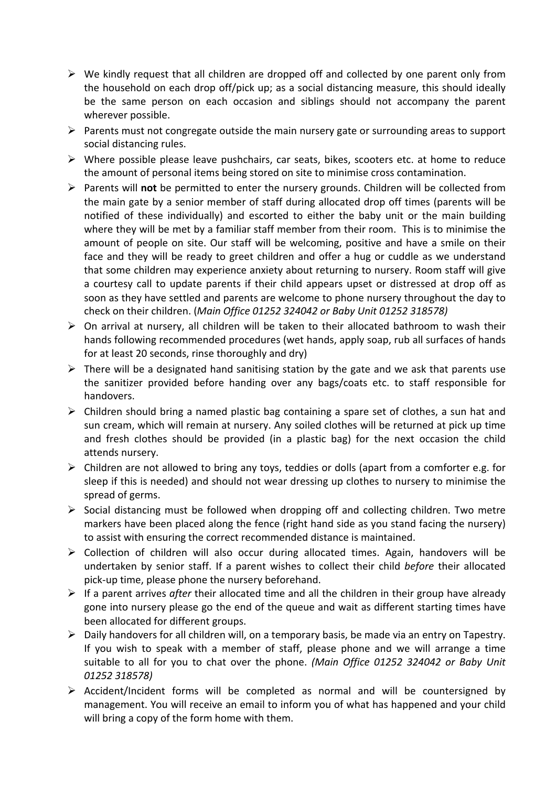- $\triangleright$  We kindly request that all children are dropped off and collected by one parent only from the household on each drop off/pick up; as a social distancing measure, this should ideally be the same person on each occasion and siblings should not accompany the parent wherever possible.
- $\triangleright$  Parents must not congregate outside the main nursery gate or surrounding areas to support social distancing rules.
- $\triangleright$  Where possible please leave pushchairs, car seats, bikes, scooters etc. at home to reduce the amount of personal items being stored on site to minimise cross contamination.
- ▶ Parents will **not** be permitted to enter the nursery grounds. Children will be collected from the main gate by a senior member of staff during allocated drop off times (parents will be notified of these individually) and escorted to either the baby unit or the main building where they will be met by a familiar staff member from their room. This is to minimise the amount of people on site. Our staff will be welcoming, positive and have a smile on their face and they will be ready to greet children and offer a hug or cuddle as we understand that some children may experience anxiety about returning to nursery. Room staff will give a courtesy call to update parents if their child appears upset or distressed at drop off as soon as they have settled and parents are welcome to phone nursery throughout the day to check on their children. (*Main Office 01252 324042 or Baby Unit 01252 318578)*
- $\triangleright$  On arrival at nursery, all children will be taken to their allocated bathroom to wash their hands following recommended procedures (wet hands, apply soap, rub all surfaces of hands for at least 20 seconds, rinse thoroughly and dry)
- $\triangleright$  There will be a designated hand sanitising station by the gate and we ask that parents use the sanitizer provided before handing over any bags/coats etc. to staff responsible for handovers.
- $\triangleright$  Children should bring a named plastic bag containing a spare set of clothes, a sun hat and sun cream, which will remain at nursery. Any soiled clothes will be returned at pick up time and fresh clothes should be provided (in a plastic bag) for the next occasion the child attends nursery.
- $\triangleright$  Children are not allowed to bring any toys, teddies or dolls (apart from a comforter e.g. for sleep if this is needed) and should not wear dressing up clothes to nursery to minimise the spread of germs.
- $\triangleright$  Social distancing must be followed when dropping off and collecting children. Two metre markers have been placed along the fence (right hand side as you stand facing the nursery) to assist with ensuring the correct recommended distance is maintained.
- $\triangleright$  Collection of children will also occur during allocated times. Again, handovers will be undertaken by senior staff. If a parent wishes to collect their child *before* their allocated pick-up time, please phone the nursery beforehand.
- $\triangleright$  If a parent arrives *after* their allocated time and all the children in their group have already gone into nursery please go the end of the queue and wait as different starting times have been allocated for different groups.
- $\triangleright$  Daily handovers for all children will, on a temporary basis, be made via an entry on Tapestry. If you wish to speak with a member of staff, please phone and we will arrange a time suitable to all for you to chat over the phone. *(Main Office 01252 324042 or Baby Unit 01252 318578)*
- $\triangleright$  Accident/Incident forms will be completed as normal and will be countersigned by management. You will receive an email to inform you of what has happened and your child will bring a copy of the form home with them.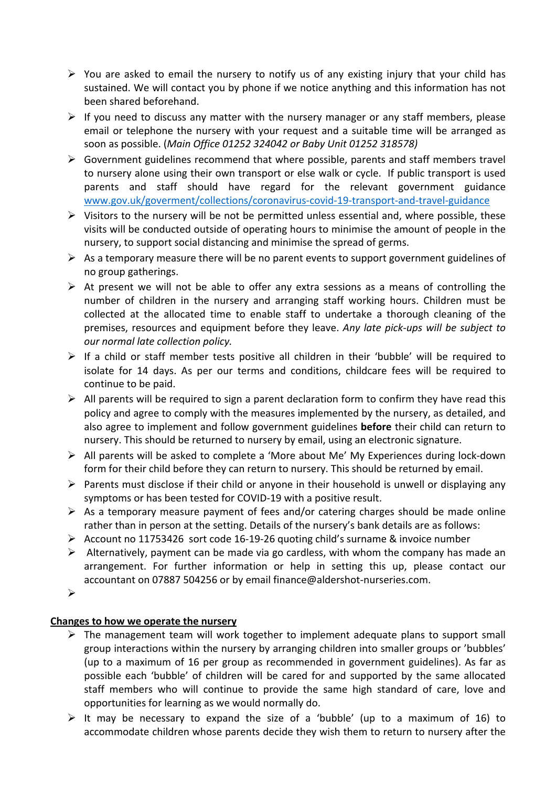- $\triangleright$  You are asked to email the nursery to notify us of any existing injury that your child has sustained. We will contact you by phone if we notice anything and this information has not been shared beforehand.
- $\triangleright$  If you need to discuss any matter with the nursery manager or any staff members, please email or telephone the nursery with your request and a suitable time will be arranged as soon as possible. (*Main Office 01252 324042 or Baby Unit 01252 318578*)
- $\triangleright$  Government guidelines recommend that where possible, parents and staff members travel to nursery alone using their own transport or else walk or cycle. If public transport is used parents and staff should have regard for the relevant government guidance www.gov.uk/goverment/collections/coronavirus-covid-19-transport-and-travel-guidance
- $\triangleright$  Visitors to the nursery will be not be permitted unless essential and, where possible, these visits will be conducted outside of operating hours to minimise the amount of people in the nursery, to support social distancing and minimise the spread of germs.
- $\triangleright$  As a temporary measure there will be no parent events to support government guidelines of no group gatherings.
- $\triangleright$  At present we will not be able to offer any extra sessions as a means of controlling the number of children in the nursery and arranging staff working hours. Children must be collected at the allocated time to enable staff to undertake a thorough cleaning of the premises, resources and equipment before they leave. Any late pick-ups will be subject to *our normal late collection policy.*
- $\triangleright$  If a child or staff member tests positive all children in their 'bubble' will be required to isolate for 14 days. As per our terms and conditions, childcare fees will be required to continue to be paid.
- $\triangleright$  All parents will be required to sign a parent declaration form to confirm they have read this policy and agree to comply with the measures implemented by the nursery, as detailed, and also agree to implement and follow government guidelines **before** their child can return to nursery. This should be returned to nursery by email, using an electronic signature.
- $\triangleright$  All parents will be asked to complete a 'More about Me' My Experiences during lock-down form for their child before they can return to nursery. This should be returned by email.
- $\triangleright$  Parents must disclose if their child or anyone in their household is unwell or displaying any symptoms or has been tested for COVID-19 with a positive result.
- $\triangleright$  As a temporary measure payment of fees and/or catering charges should be made online rather than in person at the setting. Details of the nursery's bank details are as follows:
- $\triangleright$  Account no 11753426 sort code 16-19-26 quoting child's surname & invoice number
- $\triangleright$  Alternatively, payment can be made via go cardless, with whom the company has made an arrangement. For further information or help in setting this up, please contact our accountant on 07887 504256 or by email finance@aldershot-nurseries.com.
- $\blacktriangleright$

## **Changes to how we operate the nursery**

- $\triangleright$  The management team will work together to implement adequate plans to support small group interactions within the nursery by arranging children into smaller groups or 'bubbles' (up to a maximum of 16 per group as recommended in government guidelines). As far as possible each 'bubble' of children will be cared for and supported by the same allocated staff members who will continue to provide the same high standard of care, love and opportunities for learning as we would normally do.
- $\triangleright$  It may be necessary to expand the size of a 'bubble' (up to a maximum of 16) to accommodate children whose parents decide they wish them to return to nursery after the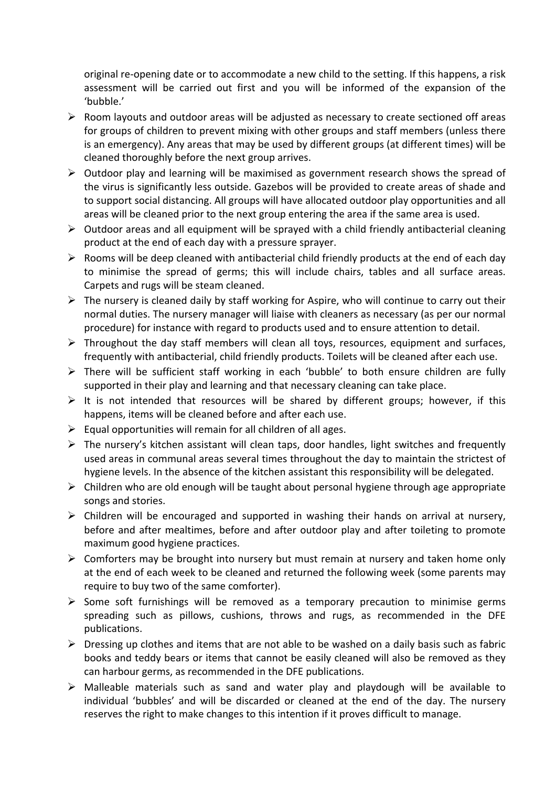original re-opening date or to accommodate a new child to the setting. If this happens, a risk assessment will be carried out first and you will be informed of the expansion of the 'bubble.'

- $\triangleright$  Room layouts and outdoor areas will be adjusted as necessary to create sectioned off areas for groups of children to prevent mixing with other groups and staff members (unless there is an emergency). Any areas that may be used by different groups (at different times) will be cleaned thoroughly before the next group arrives.
- $\triangleright$  Outdoor play and learning will be maximised as government research shows the spread of the virus is significantly less outside. Gazebos will be provided to create areas of shade and to support social distancing. All groups will have allocated outdoor play opportunities and all areas will be cleaned prior to the next group entering the area if the same area is used.
- $\triangleright$  Outdoor areas and all equipment will be sprayed with a child friendly antibacterial cleaning product at the end of each day with a pressure sprayer.
- $\triangleright$  Rooms will be deep cleaned with antibacterial child friendly products at the end of each day to minimise the spread of germs; this will include chairs, tables and all surface areas. Carpets and rugs will be steam cleaned.
- $\triangleright$  The nursery is cleaned daily by staff working for Aspire, who will continue to carry out their normal duties. The nursery manager will liaise with cleaners as necessary (as per our normal procedure) for instance with regard to products used and to ensure attention to detail.
- $\triangleright$  Throughout the day staff members will clean all toys, resources, equipment and surfaces, frequently with antibacterial, child friendly products. Toilets will be cleaned after each use.
- $\triangleright$  There will be sufficient staff working in each 'bubble' to both ensure children are fully supported in their play and learning and that necessary cleaning can take place.
- $\triangleright$  It is not intended that resources will be shared by different groups; however, if this happens, items will be cleaned before and after each use.
- $\triangleright$  Equal opportunities will remain for all children of all ages.
- $\triangleright$  The nursery's kitchen assistant will clean taps, door handles, light switches and frequently used areas in communal areas several times throughout the day to maintain the strictest of hygiene levels. In the absence of the kitchen assistant this responsibility will be delegated.
- $\triangleright$  Children who are old enough will be taught about personal hygiene through age appropriate songs and stories.
- $\triangleright$  Children will be encouraged and supported in washing their hands on arrival at nursery, before and after mealtimes, before and after outdoor play and after toileting to promote maximum good hygiene practices.
- $\triangleright$  Comforters may be brought into nursery but must remain at nursery and taken home only at the end of each week to be cleaned and returned the following week (some parents may require to buy two of the same comforter).
- $\triangleright$  Some soft furnishings will be removed as a temporary precaution to minimise germs spreading such as pillows, cushions, throws and rugs, as recommended in the DFE publications.
- $\triangleright$  Dressing up clothes and items that are not able to be washed on a daily basis such as fabric books and teddy bears or items that cannot be easily cleaned will also be removed as they can harbour germs, as recommended in the DFE publications.
- $\triangleright$  Malleable materials such as sand and water play and playdough will be available to individual 'bubbles' and will be discarded or cleaned at the end of the day. The nursery reserves the right to make changes to this intention if it proves difficult to manage.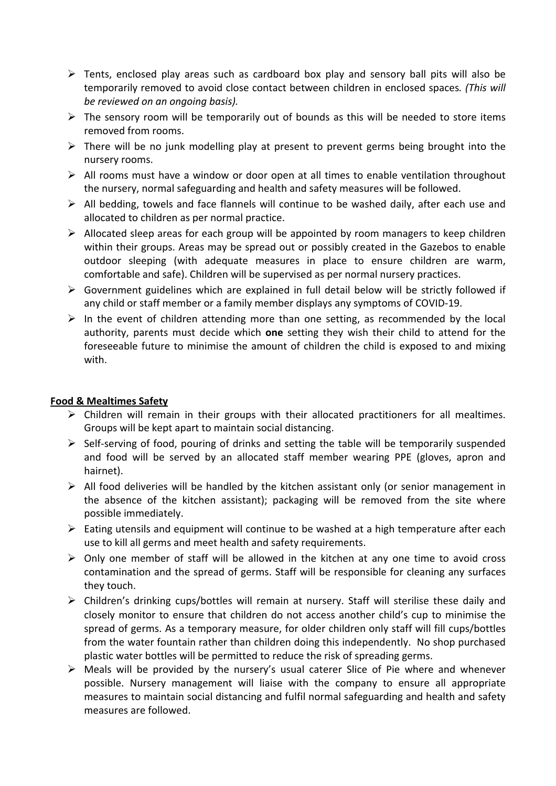- $\triangleright$  Tents, enclosed play areas such as cardboard box play and sensory ball pits will also be temporarily removed to avoid close contact between children in enclosed spaces. (This will be reviewed on an ongoing basis).
- $\triangleright$  The sensory room will be temporarily out of bounds as this will be needed to store items removed from rooms.
- $\triangleright$  There will be no junk modelling play at present to prevent germs being brought into the nursery rooms.
- $\triangleright$  All rooms must have a window or door open at all times to enable ventilation throughout the nursery, normal safeguarding and health and safety measures will be followed.
- $\triangleright$  All bedding, towels and face flannels will continue to be washed daily, after each use and allocated to children as per normal practice.
- $\triangleright$  Allocated sleep areas for each group will be appointed by room managers to keep children within their groups. Areas may be spread out or possibly created in the Gazebos to enable outdoor sleeping (with adequate measures in place to ensure children are warm, comfortable and safe). Children will be supervised as per normal nursery practices.
- $\triangleright$  Government guidelines which are explained in full detail below will be strictly followed if any child or staff member or a family member displays any symptoms of COVID-19.
- $\triangleright$  In the event of children attending more than one setting, as recommended by the local authority, parents must decide which **one** setting they wish their child to attend for the foreseeable future to minimise the amount of children the child is exposed to and mixing with.

### **Food & Mealtimes Safety**

- $\triangleright$  Children will remain in their groups with their allocated practitioners for all mealtimes. Groups will be kept apart to maintain social distancing.
- $\triangleright$  Self-serving of food, pouring of drinks and setting the table will be temporarily suspended and food will be served by an allocated staff member wearing PPE (gloves, apron and hairnet).
- $\triangleright$  All food deliveries will be handled by the kitchen assistant only (or senior management in the absence of the kitchen assistant); packaging will be removed from the site where possible immediately.
- $\triangleright$  Eating utensils and equipment will continue to be washed at a high temperature after each use to kill all germs and meet health and safety requirements.
- $\triangleright$  Only one member of staff will be allowed in the kitchen at any one time to avoid cross contamination and the spread of germs. Staff will be responsible for cleaning any surfaces they touch.
- $\triangleright$  Children's drinking cups/bottles will remain at nursery. Staff will sterilise these daily and closely monitor to ensure that children do not access another child's cup to minimise the spread of germs. As a temporary measure, for older children only staff will fill cups/bottles from the water fountain rather than children doing this independently. No shop purchased plastic water bottles will be permitted to reduce the risk of spreading germs.
- $\triangleright$  Meals will be provided by the nursery's usual caterer Slice of Pie where and whenever possible. Nursery management will liaise with the company to ensure all appropriate measures to maintain social distancing and fulfil normal safeguarding and health and safety measures are followed.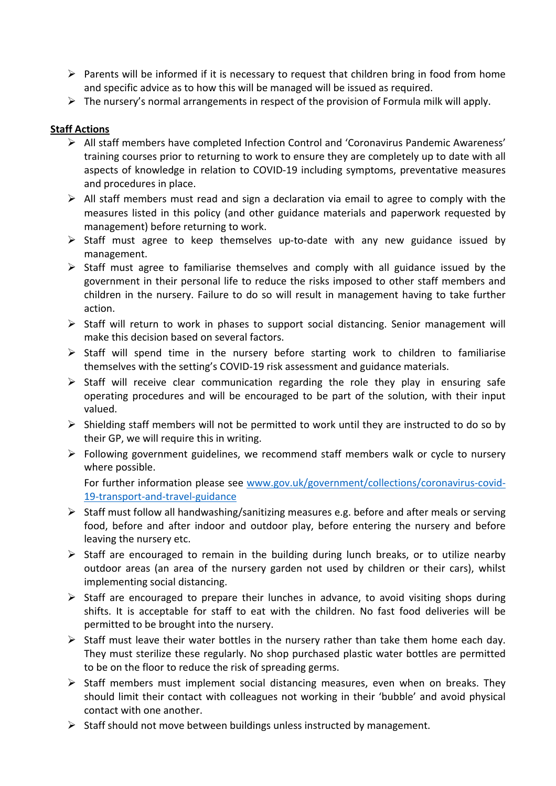- $\triangleright$  Parents will be informed if it is necessary to request that children bring in food from home and specific advice as to how this will be managed will be issued as required.
- $\triangleright$  The nursery's normal arrangements in respect of the provision of Formula milk will apply.

### **Staff Actions**

- $\triangleright$  All staff members have completed Infection Control and 'Coronavirus Pandemic Awareness' training courses prior to returning to work to ensure they are completely up to date with all aspects of knowledge in relation to COVID-19 including symptoms, preventative measures and procedures in place.
- $\triangleright$  All staff members must read and sign a declaration via email to agree to comply with the measures listed in this policy (and other guidance materials and paperwork requested by management) before returning to work.
- $\triangleright$  Staff must agree to keep themselves up-to-date with any new guidance issued by management.
- $\triangleright$  Staff must agree to familiarise themselves and comply with all guidance issued by the government in their personal life to reduce the risks imposed to other staff members and children in the nursery. Failure to do so will result in management having to take further action.
- > Staff will return to work in phases to support social distancing. Senior management will make this decision based on several factors.
- $\triangleright$  Staff will spend time in the nursery before starting work to children to familiarise themselves with the setting's COVID-19 risk assessment and guidance materials.
- $\triangleright$  Staff will receive clear communication regarding the role they play in ensuring safe operating procedures and will be encouraged to be part of the solution, with their input valued.
- $\triangleright$  Shielding staff members will not be permitted to work until they are instructed to do so by their GP, we will require this in writing.
- $\triangleright$  Following government guidelines, we recommend staff members walk or cycle to nursery where possible.

For further information please see www.gov.uk/government/collections/coronavirus-covid-19-transport-and-travel-guidance 

- $\triangleright$  Staff must follow all handwashing/sanitizing measures e.g. before and after meals or serving food, before and after indoor and outdoor play, before entering the nursery and before leaving the nursery etc.
- $\triangleright$  Staff are encouraged to remain in the building during lunch breaks, or to utilize nearby outdoor areas (an area of the nursery garden not used by children or their cars), whilst implementing social distancing.
- $\triangleright$  Staff are encouraged to prepare their lunches in advance, to avoid visiting shops during shifts. It is acceptable for staff to eat with the children. No fast food deliveries will be permitted to be brought into the nursery.
- $\triangleright$  Staff must leave their water bottles in the nursery rather than take them home each day. They must sterilize these regularly. No shop purchased plastic water bottles are permitted to be on the floor to reduce the risk of spreading germs.
- $\triangleright$  Staff members must implement social distancing measures, even when on breaks. They should limit their contact with colleagues not working in their 'bubble' and avoid physical contact with one another.
- $\triangleright$  Staff should not move between buildings unless instructed by management.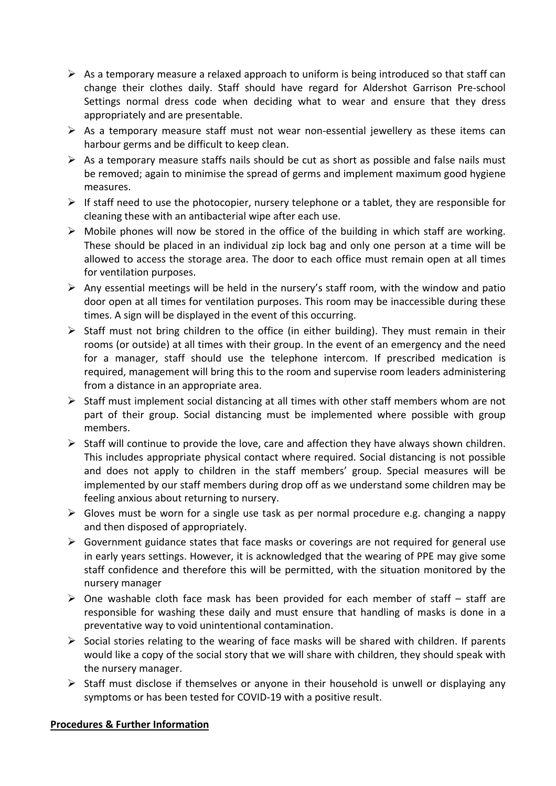- $\triangleright$  As a temporary measure a relaxed approach to uniform is being introduced so that staff can change their clothes daily. Staff should have regard for Aldershot Garrison Pre-school Settings normal dress code when deciding what to wear and ensure that they dress appropriately and are presentable.
- $\triangleright$  As a temporary measure staff must not wear non-essential jewellery as these items can harbour germs and be difficult to keep clean.
- $\triangleright$  As a temporary measure staffs nails should be cut as short as possible and false nails must be removed; again to minimise the spread of germs and implement maximum good hygiene measures.
- $\triangleright$  If staff need to use the photocopier, nursery telephone or a tablet, they are responsible for cleaning these with an antibacterial wipe after each use.
- $\triangleright$  Mobile phones will now be stored in the office of the building in which staff are working. These should be placed in an individual zip lock bag and only one person at a time will be allowed to access the storage area. The door to each office must remain open at all times for ventilation purposes.
- $\triangleright$  Any essential meetings will be held in the nursery's staff room, with the window and patio door open at all times for ventilation purposes. This room may be inaccessible during these times. A sign will be displayed in the event of this occurring.
- $\triangleright$  Staff must not bring children to the office (in either building). They must remain in their rooms (or outside) at all times with their group. In the event of an emergency and the need for a manager, staff should use the telephone intercom. If prescribed medication is required, management will bring this to the room and supervise room leaders administering from a distance in an appropriate area.
- $\triangleright$  Staff must implement social distancing at all times with other staff members whom are not part of their group. Social distancing must be implemented where possible with group members.
- $\triangleright$  Staff will continue to provide the love, care and affection they have always shown children. This includes appropriate physical contact where required. Social distancing is not possible and does not apply to children in the staff members' group. Special measures will be implemented by our staff members during drop off as we understand some children may be feeling anxious about returning to nursery.
- $\triangleright$  Gloves must be worn for a single use task as per normal procedure e.g. changing a nappy and then disposed of appropriately.
- $\triangleright$  Government guidance states that face masks or coverings are not required for general use in early years settings. However, it is acknowledged that the wearing of PPE may give some staff confidence and therefore this will be permitted, with the situation monitored by the nursery manager
- $\triangleright$  One washable cloth face mask has been provided for each member of staff staff are responsible for washing these daily and must ensure that handling of masks is done in a preventative way to void unintentional contamination.
- $\triangleright$  Social stories relating to the wearing of face masks will be shared with children. If parents would like a copy of the social story that we will share with children, they should speak with the nursery manager.
- $\triangleright$  Staff must disclose if themselves or anyone in their household is unwell or displaying any symptoms or has been tested for COVID-19 with a positive result.

### **Procedures & Further Information**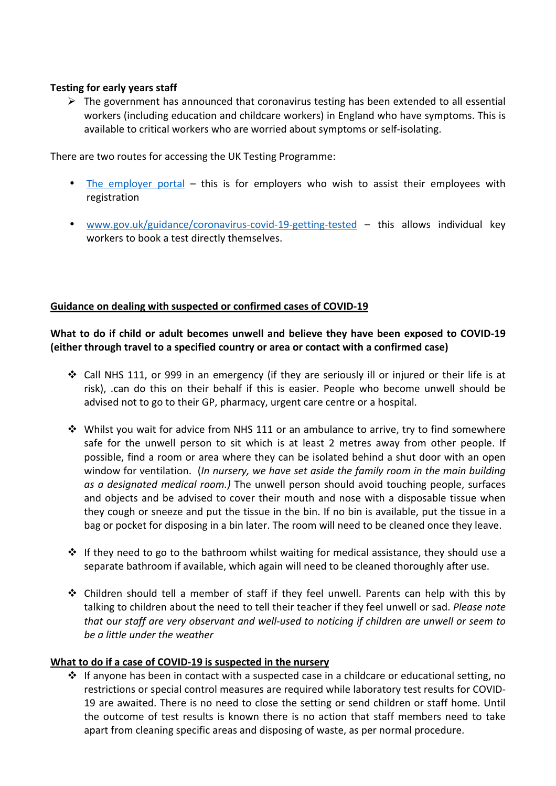#### **Testing for early years staff**

 $\triangleright$  The government has announced that coronavirus testing has been extended to all essential workers (including education and childcare workers) in England who have symptoms. This is available to critical workers who are worried about symptoms or self-isolating.

There are two routes for accessing the UK Testing Programme:

- The employer portal this is for employers who wish to assist their employees with registration
- www.gov.uk/guidance/coronavirus-covid-19-getting-tested this allows individual key workers to book a test directly themselves.

### **Guidance on dealing with suspected or confirmed cases of COVID-19**

### What to do if child or adult becomes unwell and believe they have been exposed to COVID-19 **(either through travel to a specified country or area or contact with a confirmed case)**

- ❖ Call NHS 111, or 999 in an emergency (if they are seriously ill or injured or their life is at risk), .can do this on their behalf if this is easier. People who become unwell should be advised not to go to their GP, pharmacy, urgent care centre or a hospital.
- Whilst you wait for advice from NHS 111 or an ambulance to arrive, try to find somewhere safe for the unwell person to sit which is at least 2 metres away from other people. If possible, find a room or area where they can be isolated behind a shut door with an open window for ventilation. (*In nursery, we have set aside the family room in the main building as a designated medical room.)* The unwell person should avoid touching people, surfaces and objects and be advised to cover their mouth and nose with a disposable tissue when they cough or sneeze and put the tissue in the bin. If no bin is available, put the tissue in a bag or pocket for disposing in a bin later. The room will need to be cleaned once they leave.
- $\cdot$  If they need to go to the bathroom whilst waiting for medical assistance, they should use a separate bathroom if available, which again will need to be cleaned thoroughly after use.
- ◆ Children should tell a member of staff if they feel unwell. Parents can help with this by talking to children about the need to tell their teacher if they feel unwell or sad. Please note *that* our staff are very observant and well-used to noticing if children are unwell or seem to *be a little under the weather*

#### What to do if a case of COVID-19 is suspected in the nursery

 $\cdot$  If anyone has been in contact with a suspected case in a childcare or educational setting, no restrictions or special control measures are required while laboratory test results for COVID-19 are awaited. There is no need to close the setting or send children or staff home. Until the outcome of test results is known there is no action that staff members need to take apart from cleaning specific areas and disposing of waste, as per normal procedure.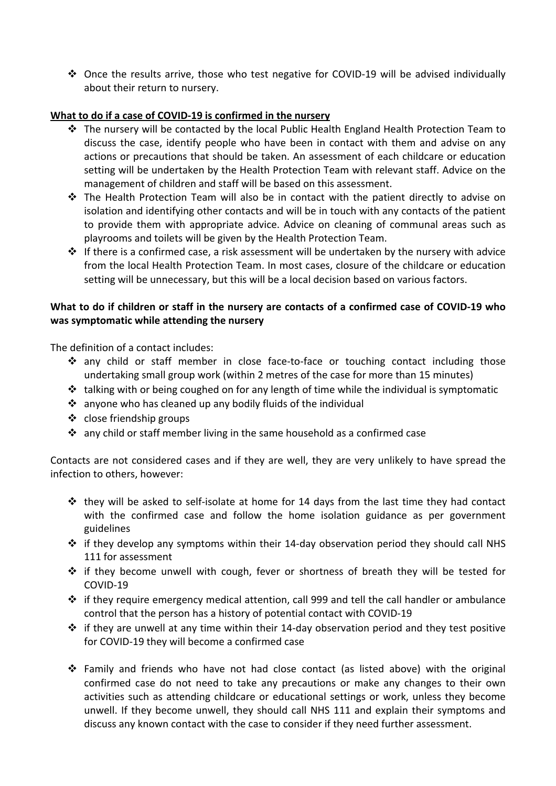• Once the results arrive, those who test negative for COVID-19 will be advised individually about their return to nursery.

### What to do if a case of COVID-19 is confirmed in the nursery

- $\cdot$  The nursery will be contacted by the local Public Health England Health Protection Team to discuss the case, identify people who have been in contact with them and advise on any actions or precautions that should be taken. An assessment of each childcare or education setting will be undertaken by the Health Protection Team with relevant staff. Advice on the management of children and staff will be based on this assessment.
- ❖ The Health Protection Team will also be in contact with the patient directly to advise on isolation and identifying other contacts and will be in touch with any contacts of the patient to provide them with appropriate advice. Advice on cleaning of communal areas such as playrooms and toilets will be given by the Health Protection Team.
- $\cdot$  If there is a confirmed case, a risk assessment will be undertaken by the nursery with advice from the local Health Protection Team. In most cases, closure of the childcare or education setting will be unnecessary, but this will be a local decision based on various factors.

### What to do if children or staff in the nursery are contacts of a confirmed case of COVID-19 who was symptomatic while attending the nursery

The definition of a contact includes:

- ◆ any child or staff member in close face-to-face or touching contact including those undertaking small group work (within 2 metres of the case for more than 15 minutes)
- talking with or being coughed on for any length of time while the individual is symptomatic
- $\cdot$  anyone who has cleaned up any bodily fluids of the individual
- $\cdot$  close friendship groups
- $\cdot$  any child or staff member living in the same household as a confirmed case

Contacts are not considered cases and if they are well, they are very unlikely to have spread the infection to others, however:

- $\cdot$  they will be asked to self-isolate at home for 14 days from the last time they had contact with the confirmed case and follow the home isolation guidance as per government guidelines
- $\cdot$  if they develop any symptoms within their 14-day observation period they should call NHS 111 for assessment
- $\cdot$  if they become unwell with cough, fever or shortness of breath they will be tested for COVID-19
- $\cdot \cdot$  if they require emergency medical attention, call 999 and tell the call handler or ambulance control that the person has a history of potential contact with COVID-19
- $\cdot$  if they are unwell at any time within their 14-day observation period and they test positive for COVID-19 they will become a confirmed case
- $\cdot \cdot$  Family and friends who have not had close contact (as listed above) with the original confirmed case do not need to take any precautions or make any changes to their own activities such as attending childcare or educational settings or work, unless they become unwell. If they become unwell, they should call NHS 111 and explain their symptoms and discuss any known contact with the case to consider if they need further assessment.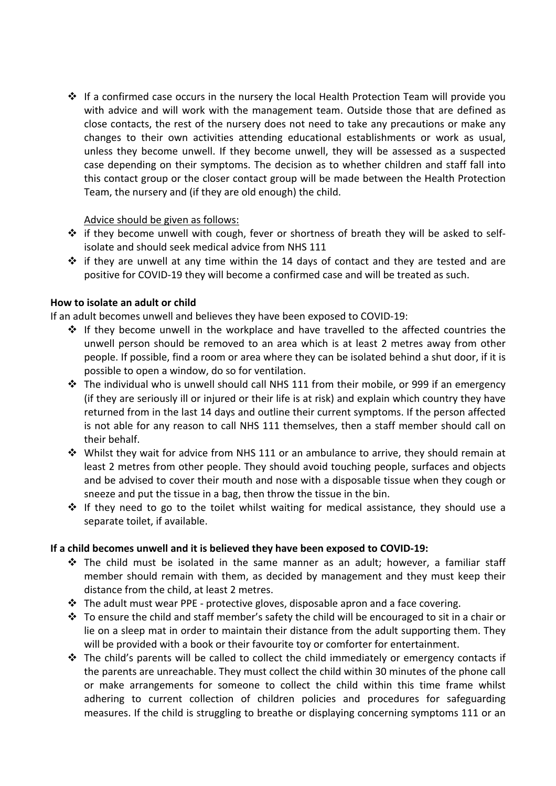$\cdot$  If a confirmed case occurs in the nursery the local Health Protection Team will provide you with advice and will work with the management team. Outside those that are defined as close contacts, the rest of the nursery does not need to take any precautions or make any changes to their own activities attending educational establishments or work as usual, unless they become unwell. If they become unwell, they will be assessed as a suspected case depending on their symptoms. The decision as to whether children and staff fall into this contact group or the closer contact group will be made between the Health Protection Team, the nursery and (if they are old enough) the child.

#### Advice should be given as follows:

- \* if they become unwell with cough, fever or shortness of breath they will be asked to selfisolate and should seek medical advice from NHS 111
- $\cdot \cdot$  if they are unwell at any time within the 14 days of contact and they are tested and are positive for COVID-19 they will become a confirmed case and will be treated as such.

### **How to isolate an adult or child**

If an adult becomes unwell and believes they have been exposed to COVID-19:

- $\cdot$  If they become unwell in the workplace and have travelled to the affected countries the unwell person should be removed to an area which is at least 2 metres away from other people. If possible, find a room or area where they can be isolated behind a shut door, if it is possible to open a window, do so for ventilation.
- $\cdot$  The individual who is unwell should call NHS 111 from their mobile, or 999 if an emergency (if they are seriously ill or injured or their life is at risk) and explain which country they have returned from in the last 14 days and outline their current symptoms. If the person affected is not able for any reason to call NHS 111 themselves, then a staff member should call on their behalf.
- $\cdot$  Whilst they wait for advice from NHS 111 or an ambulance to arrive, they should remain at least 2 metres from other people. They should avoid touching people, surfaces and objects and be advised to cover their mouth and nose with a disposable tissue when they cough or sneeze and put the tissue in a bag, then throw the tissue in the bin.
- $*$  If they need to go to the toilet whilst waiting for medical assistance, they should use a separate toilet, if available.

### If a child becomes unwell and it is believed they have been exposed to COVID-19:

- The child must be isolated in the same manner as an adult; however, a familiar staff member should remain with them, as decided by management and they must keep their distance from the child, at least 2 metres.
- $\cdot$  The adult must wear PPE protective gloves, disposable apron and a face covering.
- \* To ensure the child and staff member's safety the child will be encouraged to sit in a chair or lie on a sleep mat in order to maintain their distance from the adult supporting them. They will be provided with a book or their favourite toy or comforter for entertainment.
- \* The child's parents will be called to collect the child immediately or emergency contacts if the parents are unreachable. They must collect the child within 30 minutes of the phone call or make arrangements for someone to collect the child within this time frame whilst adhering to current collection of children policies and procedures for safeguarding measures. If the child is struggling to breathe or displaying concerning symptoms 111 or an